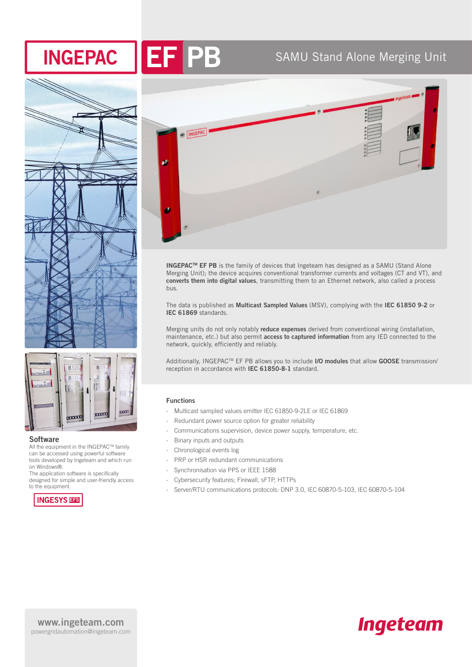



# EF PB SAMU Stand Alone Merging Unit





#### **Software**

All the equipment in the INGEPAC™ family can be accessed using powerful software tools developed by Ingeteam and which run on Windows®.

The application software is specifically designed for simple and user-friendly access to the equipment.





**INGEPACTM EF PB** is the family of devices that Ingeteam has designed as a SAMU (Stand Alone Merging Unit); the device acquires conventional transformer currents and voltages (CT and VT), and **converts them into digital values**, transmitting them to an Ethernet network, also called a process bus.

The data is published as **Multicast Sampled Values** (MSV), complying with the **IEC 61850 9-2** or **IEC 61869** standards.

Merging units do not only notably **reduce expenses** derived from conventional wiring (installation, maintenance, etc.) but also permit **access to captured information** from any IED connected to the network, quickly, efficiently and reliably.

Additionally, INGEPACTM EF PB allows you to include **I/O modules** that allow **GOOSE** transmission/ reception in accordance with **IEC 61850-8-1** standard.

#### **Functions**

- ∙ Multicast sampled values emitter IEC 61850-9-2LE or IEC 61869
- ∙ Redundant power source option for greater reliability
- ∙ Communications supervision, device power supply, temperature, etc.
- ∙ Binary inputs and outputs
- ∙ Chronological events log
- ∙ PRP or HSR redundant communications
- ∙ Synchronisation via PPS or IEEE 1588
- ∙ Cybersecurity features; Firewall, sFTP, HTTPs
- ∙ Server/RTU communications protocols: DNP 3.0, IEC 60870-5-103, IEC 60870-5-104